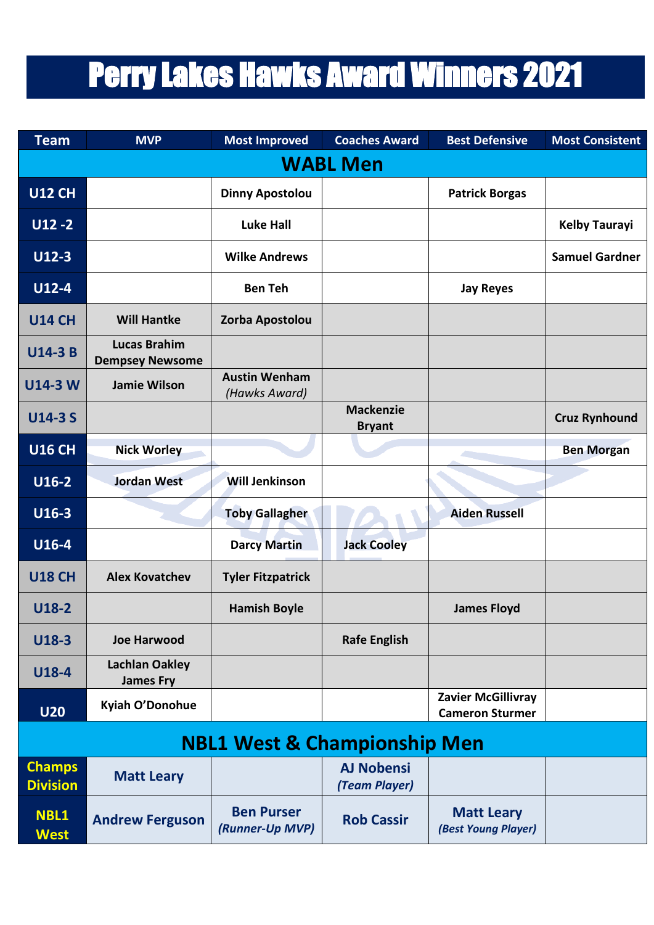## Perry Lakes Hawks Award Winners 2021

| <b>Team</b>                             | <b>MVP</b>                                    | <b>Most Improved</b>                  | <b>Coaches Award</b>               | <b>Best Defensive</b>                               | <b>Most Consistent</b> |  |  |  |  |
|-----------------------------------------|-----------------------------------------------|---------------------------------------|------------------------------------|-----------------------------------------------------|------------------------|--|--|--|--|
| <b>WABL Men</b>                         |                                               |                                       |                                    |                                                     |                        |  |  |  |  |
| <b>U12 CH</b>                           |                                               | <b>Dinny Apostolou</b>                |                                    | <b>Patrick Borgas</b>                               |                        |  |  |  |  |
| $U12 - 2$                               |                                               | <b>Luke Hall</b>                      |                                    |                                                     | <b>Kelby Taurayi</b>   |  |  |  |  |
| $U12-3$                                 |                                               | <b>Wilke Andrews</b>                  |                                    |                                                     | <b>Samuel Gardner</b>  |  |  |  |  |
| $U12-4$                                 |                                               | <b>Ben Teh</b>                        |                                    | <b>Jay Reyes</b>                                    |                        |  |  |  |  |
| <b>U14 CH</b>                           | <b>Will Hantke</b>                            | Zorba Apostolou                       |                                    |                                                     |                        |  |  |  |  |
| <b>U14-3 B</b>                          | <b>Lucas Brahim</b><br><b>Dempsey Newsome</b> |                                       |                                    |                                                     |                        |  |  |  |  |
| <b>U14-3 W</b>                          | <b>Jamie Wilson</b>                           | <b>Austin Wenham</b><br>(Hawks Award) |                                    |                                                     |                        |  |  |  |  |
| <b>U14-3 S</b>                          |                                               |                                       | <b>Mackenzie</b><br><b>Bryant</b>  |                                                     | <b>Cruz Rynhound</b>   |  |  |  |  |
| <b>U16 CH</b>                           | <b>Nick Worley</b>                            |                                       |                                    |                                                     | <b>Ben Morgan</b>      |  |  |  |  |
| $U16-2$                                 | <b>Jordan West</b>                            | <b>Will Jenkinson</b>                 |                                    |                                                     |                        |  |  |  |  |
| U16-3                                   |                                               | <b>Toby Gallagher</b>                 |                                    | <b>Aiden Russell</b>                                |                        |  |  |  |  |
| U16-4                                   |                                               | <b>Darcy Martin</b>                   | <b>Jack Cooley</b>                 |                                                     |                        |  |  |  |  |
| <b>U18 CH</b>                           | <b>Alex Kovatchev</b>                         | <b>Tyler Fitzpatrick</b>              |                                    |                                                     |                        |  |  |  |  |
| $U18-2$                                 |                                               | <b>Hamish Boyle</b>                   |                                    | <b>James Floyd</b>                                  |                        |  |  |  |  |
| $U18-3$                                 | <b>Joe Harwood</b>                            |                                       | <b>Rafe English</b>                |                                                     |                        |  |  |  |  |
| U18-4                                   | <b>Lachlan Oakley</b><br><b>James Fry</b>     |                                       |                                    |                                                     |                        |  |  |  |  |
| <b>U20</b>                              | Kyiah O'Donohue                               |                                       |                                    | <b>Zavier McGillivray</b><br><b>Cameron Sturmer</b> |                        |  |  |  |  |
| <b>NBL1 West &amp; Championship Men</b> |                                               |                                       |                                    |                                                     |                        |  |  |  |  |
| <b>Champs</b><br><b>Division</b>        | <b>Matt Leary</b>                             |                                       | <b>AJ Nobensi</b><br>(Team Player) |                                                     |                        |  |  |  |  |
| <b>NBL1</b><br><b>West</b>              | <b>Andrew Ferguson</b>                        | <b>Ben Purser</b><br>(Runner-Up MVP)  | <b>Rob Cassir</b>                  | <b>Matt Leary</b><br>(Best Young Player)            |                        |  |  |  |  |